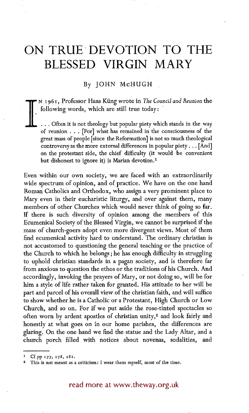# **ON TRUE'DEVOTION TO THE BLESSED VIRGIN MARY**

## By JOHN McHUGH

**1 f** N I96I, Professor Hans Kfing wrote in *The CounciIand Reunion* the following words, which are still true today:

... Often it is not theology but popular piety which stands in the way of reunion . . . [For] what has remained in the consciousness of the great mass of people [since the Reformation] is not so much theological controversy as the more external differences in popular piety... [And] on the protestant side, the chief difficulty (it would be convenient but dishonest to ignore it) is Marian devotion.<sup>1</sup>

Even within our own society, we are faced with an extraordinarily wide spectrum of opinion, and of practice. We have on the one hand Roman Catholics and Orthodox, who assign a very prominent place to Mary even in their eucharistic liturgy, and over against them, many members of other Churches which would never think of going so far. If there is such diversity of opinion among the members of this Ecumenical Society of the Blessed Virgin, we cannot be surprised if the mass of church-goers adopt even more divergent views. Most of them find ecumenical activity hard to understand. The ordinary christian is not accustomed to questioning the general teaching or the practice of the Church to which he belongs ; he has enough difficulty in struggling to uphold christian standards in a pagan society, and is therefore far from anxious to question the ethos or the traditions of his Church. And accordingly, invoking the prayers of Mary, or not doing so, will be for him a style of life rather taken for granted. His attitude to her will be part and parcel of his overall view of the christian faith, and will suffice to show whether he is a Catholic or a Protestant, High Church or Low Church, and so on. For if we put aside the rose-tinted spectacles so often worn by ardent apostles of christian unity,<sup>2</sup> and look fairly and honestly at what goes on in our home parishes, the differences are glaring. On the one hand we find the statue and the Lady Altar, and a church porch filled with notices about novenas, sodalities, and

read more at www.theway.org.uk

Cf.pp 177, 178, 182.

This is not meant as a criticism : I wear them myself, most of the time.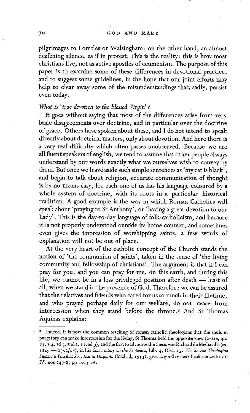pilgrimages to Lourdes or Walsingham; on the other hand, an almost deafening silence, as if in protest. This is the reality: this is how most christians live, not as active apostles of ecumenism. The purpose of this paper is to examine some of these differences in devotional practice, and to suggest some guidelines, in the hope that our joint efforts may help to clear away some of the misunderstandings that, sadly, persist even today.

## *What is 'true devotion to the blessed Virgin'?*

It goes without saying that most of the differences arise from very basic disagreements over doctrine, and in particular over the doctrine of grace. Others have spoken about these, and I do not intend to speak directly about doctrinal matters, only about devotion. And here there is a very real difficulty which often passes unobserved. Because we are all fluent speakers of english, we tend to assume that other people always understand by our words exactly what we ourselves wish to convey by them. But once we leave aside such simple sentences as 'my cat is black', and begin to talk about religion, accurate communication of thought is by no means easy, for each one of us has his language coloured by a whole system of doctrine, with its roots in a particular historical tradition. A good example is the way in which Roman Catholics will speak about 'praying to St Anthony', or 'having a great devotion to our Lady'. This is the day-t0-day language of folk-catholicism, and because it is not properly understood outside its home context, and sometimes even gives the impression of worshipping saints, a few words of explanation will not be out of place.

At the very heart of the catholic concept of the Church stands the notion of 'the communion of saints', taken in the sense of 'the living community and fellowship of christians'. The argument is that if I can pray for you, and you can pray for me, on this earth, and during this life, we cannot be in a less privileged position after death - least of all, when we stand in the presence of God. Therefore we can be assured that the relatives and friends who cared for us so much in their lifetime, and who prayed perhaps daily for our welfare, do not cease from intercession when they stand before the throne.<sup>3</sup> And St Thomas Aquinas explains :

<sup>&</sup>lt;sup>3</sup> Indeed, it is now the common teaching of roman catholic theologians that the souls in purgatory can make intercession for the living. St Thomas held the opposite view (2-2ae, qu. 83, a.4, ad 3, and a. i I, ad 3), and the first to advocate the thesis was Richard de Mediavilla *(ca.*  x 249 -- I3o2/o8), in his *Commentary on the Sentences,* Lib. 4, Dist. *ig. The Sacrae TheoIogiae Summa a Patribus Soc. Iesu in Hispania* (Madrid, i9~;3), gives a good series of references in vol IV, nos 247-8, pp 1015-16.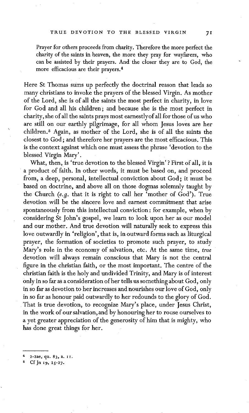Prayer for others proceeds from charity. Therefore the more perfect the charity of the saints in heaven, the more they pray for wayfarers, who can be assisted by their prayers. And the closer they are to God, the more efficacious are their prayers. 4

Here St Thomas sums up perfectly the doctrinal reason that leads so many christians to invoke the prayers of the blessed Virgin. As mother of the Lord, she is of all the saints the most perfect in charity, in love for God and all his children; and because she is the most perfect in charity, she of all the saints prays most earnestlyof all for those of us who are still on our earthly pilgrimage, for all whom Jesus loves are her children. 5 Again, as mother of the Lord, she is of all the saints the closest to God ; and therefore her prayers are the most efficacious. This is the context against which one must assess the phrase 'devotion to the blessed Virgin Mary'.

What, then, is 'true devotion to the blessed Virgin'? First of all, it is a product of faith. In other words, it must be based on, and proceed from, a deep, personal, intellectual conviction about God; it must be based on doctrine, and above all on those dogmas solemnly taught by the Church *(e.g.* that it is right to call her 'mother of God'). True devotion will be the sincere love and earnest commitment that arise spontaneously from this intellectual conviction : for example, when by considering St John's gospel, we learn to look upon her as our model and our mother. And true devotion will naturally seek to express this love outwardly in 'religion', that is, in outward forms such as liturgical prayer, the formation of societies to promote such prayer, to study Mary's role in the economy of salvation, etc. At the same time, *true*  devotion will always remain conscious that Mary is not the central figure in the christian faith, or the most important. The centre of the christian faith is the holy and undivided Trinity, and Mary is of interest only in so far as a consideration of her tells us something about God, only in so far as devotion to her increases and nourishes our love of God, only in so far as honour paid outwardly to her redounds to the glory of God. That is true devotion, to recognize Mary's place, under Jesus Christ, in the work of our salvation, and by honouring her to rouse ourselves to a yet greater appreciation of the generosity of him that is mighty, who has done great things for her.

<sup>4</sup> 2-2ae, qu. 83, a. II.

Cf Jn 19, 25-27.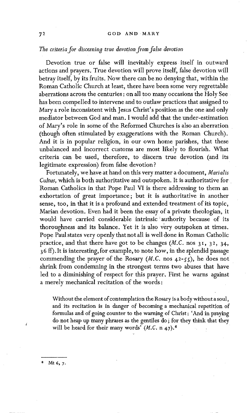*The criteria for discerning true devotion fiom false devotion* 

Devotion true or false will inevitably express itself in outward actions and prayers. True devotion will prove itself, false devotion will betray itself, by its fruits. Now there can be no denying that, within the Roman Catholic Church at least, there have been some very regrettable aberrations across the centuries : on all too many occasions the Holy See has been compelled to intervene and to outlaw practices that assigned to Mary a role inconsistent with Jesus Christ's position as the one and only mediator between God and man. I would add that the under-estimation of Mary's role in some of the Reformed Churches is also an aberration (though often stimulated by exaggerations with the Roman Church). And it is in popular religion, in our own home parishes, that these unbalanced and incorrect customs are most likely to flourish. What criteria can be used, therefore, to discern true devotion (and its legitimate expression) from false devotion ?

Fortunately, we have at hand on this very matter a document, *Marialis Cultus,* which is both authoritative and outspoken, tt is authoritative for Roman Catholics in that Pope Paul VI is there addressing to them an exhortation of great importance ; but it is authoritative in another sense, too, in that it is a profound and extended treatment of its topic, Marian devotion. Even had it been the essay of a private theologian, it would have carried considerable intrinsic authority because of its thoroughness and its balance. Yet it is also very outspoken at times. Pope Paul states very openly that not all is well done in Roman Catholic practice, and that there have got to be changes *(M.C.* nos 3I, 32, 34,  $36$  ff). It is interesting, for example, to note how, in the splendid passage commending the prayer of the Rosary  $(M.C.$  nos  $42-55$ , he does not shrink from condemning in the strongest terms two abuses that have led to a diminishing of respect for this prayer. First he warns against a merely mechanical recitation of the words:

Without the element of contemplation the Rosary is a body without a soul, and its recitation is in danger of becoming a mechanical repetition of formulas and of going counter to the warning of Christ: 'And in praying do not heap up many phrases as the gentiles do; for they think that they will be heard for their many words' *(M.C.* n 47). 6

**e Mt 6, 7.**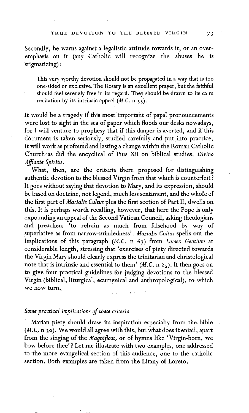Secondly, he warns against a legalistic attitude towards it, or an overemphasis on it (any Catholic will recognize the abuses he is stigmatizing) :

This very worthy devotion should not be propagated in a way that is too one-sided or exclusive. The Rosary is an excellent prayer, but the faithful should feel serenely free in its regard. They should be drawn to its calm recitation by its intrinsic appeal *(M.C. n 55)*.

.It would be a tragedy if this most important of papal pronouncements were lost to sight in the sea of paper which floods our desks nowadays, for I will venture to prophesy that if this danger is averted, and if this document is taken seriously, studied carefully and put into practice, it will work as profound and lasting a change within the Roman Catholic Church, as did the encyclical of Pins XII on biblical studies, *Divino Afflante Spiritu.* 

What, then, are the criteria there proposed for distinguishing authentic devotion to the blessed Virgin from that which is counterfeit? It goes without saying that devotion to Mary, and its expression, should be based on doctrine, not legend, much less sentiment, and the whole of the first part of *Marialis Cultus* plus the first section of Part II, dwells on this. It is perhaps worth recalling, however, that here the Pope is only expounding an appeal of the Second Vatican Council, asking theologians and preachers 'to refrain as much from falsehood by way of superlative as from narrow-mindedness'. *Marialis Cuhus* spells out the implications of this paragraph *(M.C.* n 67) from *Lumen Gentium* at considerable length, stressing that 'exercises of piety directed towards the Virgin Mary should clearly express the trinitarian and christological note that is intrinsic and essential to them' *(M.C. n 25)*. It then goes on to give four practical guidelines for judging devotions to the blessed Virgin (biblical, liturgical, ecumenical and anthropological), to which we now turn.

## *Some practical implications of these criteria*

Marian piety should draw its inspiration especially from the bible *(M.C.* n 3o). We would all agree with this, but what does it entail, apart from the singing of the *Magnificat,* or of hymns like 'Virgin-born, we bow before thee' ? Let me illustrate with two examples, one addressed to the more evangelical section of this audience, one to the catholic section. Both examples are taken from the Litany of Loreto.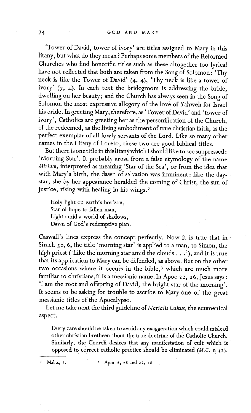'Tower of David, tower of ivory' are titles assigned to Mary in this litany, but what do they mean ? Perhaps some members of the Reformed Churches who find honorific titles such as these altogether too lyrical have not reflected that both are taken from the Song of Solomon : 'Thy neck is like the Tower of David'  $(4, 4)$ , 'Thy neck is like a tower of ivory'  $(7, 4)$ . In each text the bridegroom is addressing the bride, dwelling on her beauty; and the Church has always seen in the Song of Solomon the most expressive allegory of the love of Yahweh for Israel his bride. In greeting Mary, therefore, as 'Tower of David' and 'tower of ivory', Catholics are greeting her as the personification of the Church, of the redeemed, as the living embodiment of true christian faith, as the perfect exemplar of all lowly servants of the Lord. Like so many other names in the Litany of Loreto, these two are good biblical titles.

But there is one title in thislitany which I shouldlike to see suppressed: 'Morning Star'. It probably arose from a false etymology of the name *Miriam,* interpreted as meaning 'Star of the Sea', or from the idea that with Mary's birth, the dawn of salvation was imminent: like the daystar, she by her appearance heralded the coming of Christ, the sun of justice, rising with healing in his wings.7

Holy light on earth's horizon, Star of hope to fallen man, Light amid a world of shadows, Dawn of God's redemptive plan.

Caswall's lines express the concept perfectly. Now it is true that in Sirach 50, 6, the title 'morning star' is applied to a man, to Simon, the high priest ('Like the morning star amid the clouds...'), and it is true that its application to Mary can be defended, as above. But on the other two occasions where it occurs in the bible,<sup>8</sup> which are much more familiar to christians, it is a messianic name. In Apoc 22, 16, Jesus says: 'I am the root and offspring of David, the bright star of the morning'. It seems to be asking for trouble to ascribe to Mary one of the great messianic titles of the Apocalypse.

Let me take next the third guideline of *Marialis Cultus*, the ecumenical aspect.

Every care should be taken to avoid any exaggeration which could mislead other christian brethren about the true doctrine of the Catholic Church. Similarly, the Church desires that any manifestation of cult which is opposed to correct catholic practice should be eliminated *(M.C. n 3 2).* 

Mal 4, 2. <sup>8</sup> Apoc 2, 28 and 22, 16.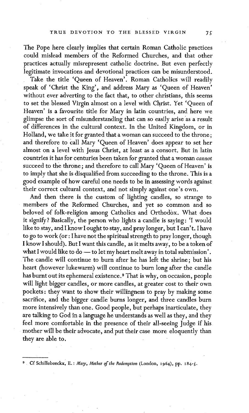The Pope here clearly implies that certain Roman Catholic practices could mislead members of the Reformed Churches, and that other practices actually misrepresent catholic doctrine. But even perfectly legitimate invocations and devotional practices can be misunderstood.

Take the title 'Queen of Heaven'. Roman Catholics will readily speak of 'Christ the King', and address Mary as 'Queen of Heaven' without ever adverting to the fact that, to other christians, this seems to set the blessed Virgin almost on a level with Christ. Yet 'Queen of Heaven' is a favourite title for Mary in latin countries, and here we glimpse the sort of misunderstanding that can so easily arise as a result of differences in the cultural context. In the United Kingdom, or in Holland, we take it for granted that a woman can succeed to the throne ; and therefore to call Mary 'Queen of Heaven' does appear to set her almost on a level with Jesus Christ, at least as a consort. But in latin countries it has for centuries been taken for granted that a woman *cannot*  succeed to the throne; and therefore to call Mary 'Queen of Heaven' is to imply that she is disqualified from succeeding to the throne. This is a good example of how careful one needs to be in assessing words against their correct cultural context, and not simply against one's own.

And then there is the custom of lighting candles, so strange to members of the Reformed Churches, and yet so common and so beloved of folk-religion among Catholics and Orthodox. What does it signify? Basically, the person who lights a candle is saying: 'I would like to stay, and I know I ought to stay, and pray longer, but I can't. I have to go to work (or: I have not the spiritual strength to pray longer, though I know I should). But I want this candle, as it melts away, to be a token of what I would like to do -- to let my heart melt away in total submission'. The candle will continue to burn after he has left the shrine; but his heart (however lukewarm) will continue to burn long after the candle has burnt out its ephemeral existence. 9 That is why, on occasion, people will light bigger candles, or more candles, at greater cost to their own pockets : they want to show their willingness to pray by making some sacrifice, and the bigger candle burns longer, and three candles burn more intensively than one. Good people, but perhaps inarticulate, they are talking to God in a language he understands as well as they, and they feel more comfortable in the presence of their all-seeing Judge if his mother will be their advocate, and put their case more eloquently than they are able to.

<sup>9</sup> Cf Schillebeeckx, E.: *Mary, Mother of the Redemption* (London, 1964), pp. 184-5.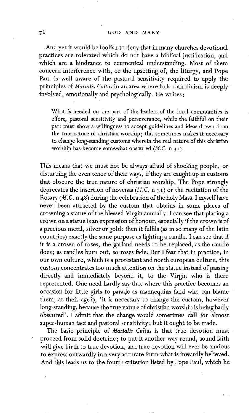#### 76 GOD AND MARY

And yet it would be foolish to deny that in many churches devotional practices are tolerated which do not have a biblical justification, and which are a hindrance to ecumenical understanding. Most of them concern interference with, or the upsetting of, the liturgy, and Pope Paul is well aware of the pastoral sensitivity required to apply the principles of *Marialis Cultus* in an area where folk-catholicism is deeply involved, emotionally and psychologically. He writes:

What is needed on the part of the leaders of the local communities is effort, pastoral sensitivity and perseverance, while the faithful on their part must show a willingness to accept guidelines and ideas drawn from the true nature of christian worship ; this sometimes makes it necessary to change long-standing customs wherein the real nature of this christian worship has become somewhat obscured *(M.C. n 3 i).* 

This means that we must not be always afraid of shocking people, or disturbing the even tenor of their ways, if they are caught up in customs that obscure the true nature of christian worship. The Pope strongly deprecates the insertion of novenas  $(M.C. n 31)$  or the recitation of the Rosary (M. C. n 48) during the celebration of the holy Mass. I myself have never been attracted by the custom that obtains in some places of crowning a statue of the blessed Virgin annually. I can see that placing a crown on a statue is an expression of honour, especially if the crown is of a precious metal, silver or gold: then it fulfils (as in so many of the latin countries) exactly the same purpose as lighting a candle. I can see that if it is a crown of roses, the garland needs to be replaced, as the candle does; as candles burn out, so roses fade. But I fear that in practice, in our own culture, which is a protestant and north european culture, this custom concentrates too much attention on the statue instead of passing directly and immediately beyond it, to the Virgin who is there represented. One need hardly say that where this practice becomes an occasion for little girls to parade as mannequins (and who can blame them, at their age?), 'it is necessary to change the custom, however long-standing, because the true nature of christian worship is being badly obscured'. I admit that the change would sometimes call for :almost super-human tact and pastoral sensitivity; but it ought to be made.

The basic principle of *Marialis Cultus* is that true devotion must proceed from solid doctrine; to put it another way round, sound faith will give birth to true devotion, and true devotion will ever be anxious to express outwardly in a very accurate form what is inwardly believed. And this leads us to the fourth criterion listed by Pope Paul, which he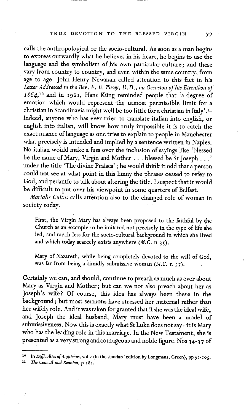calls the anthropological or the socio-cultural. As soon as a man begins to express outwardly what he believes in his heart, he begins to use the language and the symbolism of his own particular culture; and these vary from country to country, and even within the same country, from age to age. John Henry Newman called attention to this fact in his Letter Addressed to the Rev. E. B. Pusey, D.D., on Occasion of his Eirenikon of *1864,1°* and in I96I, Hans Kiing reminded people that 'a degree of emotion which would represent the utmost permissible limit for a christian in Scandinavia might well be too little for a christian in Italy'.<sup>11</sup> Indeed, anyone who has ever tried to translate italian into english, or english into italian, will know how truly impossible it is to catch the exact nuance of language as one tries to explain to people in Manchester what precisely is intended and implied by a sentence written in Naples. No italian would make a fuss over the inclusion of sayings like 'blessed be the name of Mary, Virgin and Mother... blessed be St Joseph...' under the title 'The divine Praises' ; he would think it odd that a person could not see at what point in this litany the phrases ceased to refer to God, and pedantic to talk about altering the title. I suspect that it would be difficult to put over his viewpoint in some quarters of Belfast.

*Marialis Cultus* calls attention also to the changed role of woman in society today.

First, the Virgin Mary has always been proposed to the faithful by the Church as an example to be imitated not precisely in the type of life she led, and much less for the socio-cultural background in which she lived and which today scarcely exists anywhere (M.C. n 35).

Mary of Nazareth, while being completely devoted to the will of God, was far from being a timidly submissive woman *(M.C.* n 37).

Certainly wecan, and should, continue to preach as much as ever about Mary as Virgin and Mother; but can we not also preach about her as Joseph's wife? Of course, this idea has always been there in the background; but most sermons have stressed her maternal rather than her wifely role. And it was taken for granted that if she was the ideal wife, and Joseph the ideal husband, Mary must have been a model of submissiveness. Now this is exactly what St Luke does not say: it is Mary who has the leading role in this marriage. In the New Testament, she is presented as a very strong and courageous and noble figure. Nos 34-37 of

<sup>10</sup> In *Difficulties of Anglicans*, vol 2 (in the standard edition by Longmans, Green), pp 92-105.

*The Council and Reunion, p 181.*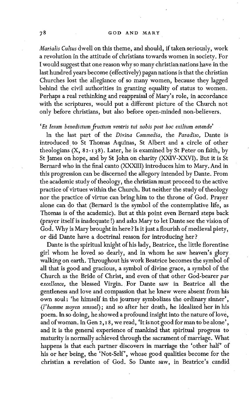#### 78 GOD AND MARY

*Marialis Cuhus* dwell on this theme, and should, if taken seriously, work a revolution in the attitude of christians towards women in society. For I would suggest that one reason why so many christian nations have in the last hundred years become (effectively) pagan nations is that the christian Churches lost the allegiance of so many women, because they lagged behind the civil authorities in granting equality of status to women. Perhaps a real rethinking and reappraisal of Mary's role, in accordance with the scriptures, would put a different picture of the Church not only before christians, but also before open-minded non-believers,

### *'Et lesum benedictum fructum ventris tui nobis post hoc exilium ostende'*

In the last part of the *Divina Commedia,* the *Paradiso,* Dante is introduced to St Thomas Aquinas, St Albert and a circle of other theologians (X, 82-I38). Later, he is examined by St Peter on faith, by St James on hope, and by St John on charity (XXIV-XXVI). But it is St Bernard who in the final canto (XXXIII) introduces him to Mary. And in this progression can be discerned the allegory intended by Dante. From the academic study of theology, the christian must proceed to the active practice of virtues within the Church. But neither the study of theology nor the practice of virtue can bring him to the throne of God. Prayer alone can do that (Bernard is the symbol of the contemplative life, as Thomas is of the academic). But at this point even Bernard steps back (prayer itself is inadequate !) and asks Mary to let Dante see the vision of God. Why is Mary brought in here ? Is it just a flourish of medieval piety, or did Dante have a doctrinal reason for introducing her?

Dante is the spiritual knight of his lady, Beatrice, the little florentine girl whom he loved so dearly, and in whom he saw heaven's glory walking on earth. Throughout his work Beatrice becomes the symbol of all that is good and gracious, a symbol of divine grace, a symbol of the Church as the Bride of Christ, and even of that other God-bearer *par excellence,* the blessed Virgin. For Dante saw in Beatrice all the gentleness and love and compassion that he knew were absent from his own soul: 'he himself in the journey symbolizes the ordinary sinner', *(l'homme moyen sensual);* and so after her death, he idealized her in his poem. In so doing, he showed a profound insight into the nature of love, and of woman. In Gen 2,18, we read, 'It is not good for man to be alone', and it is the general experience of mankind that spiritual progress to maturity is normally achieved through the sacrament of marriage. What happens is that each partner discovers in marriage the 'other half' of his or her being, the 'Not-Self', whose good qualities become for the christian a revelation of God. So Dante saw, in Beatrice's candid